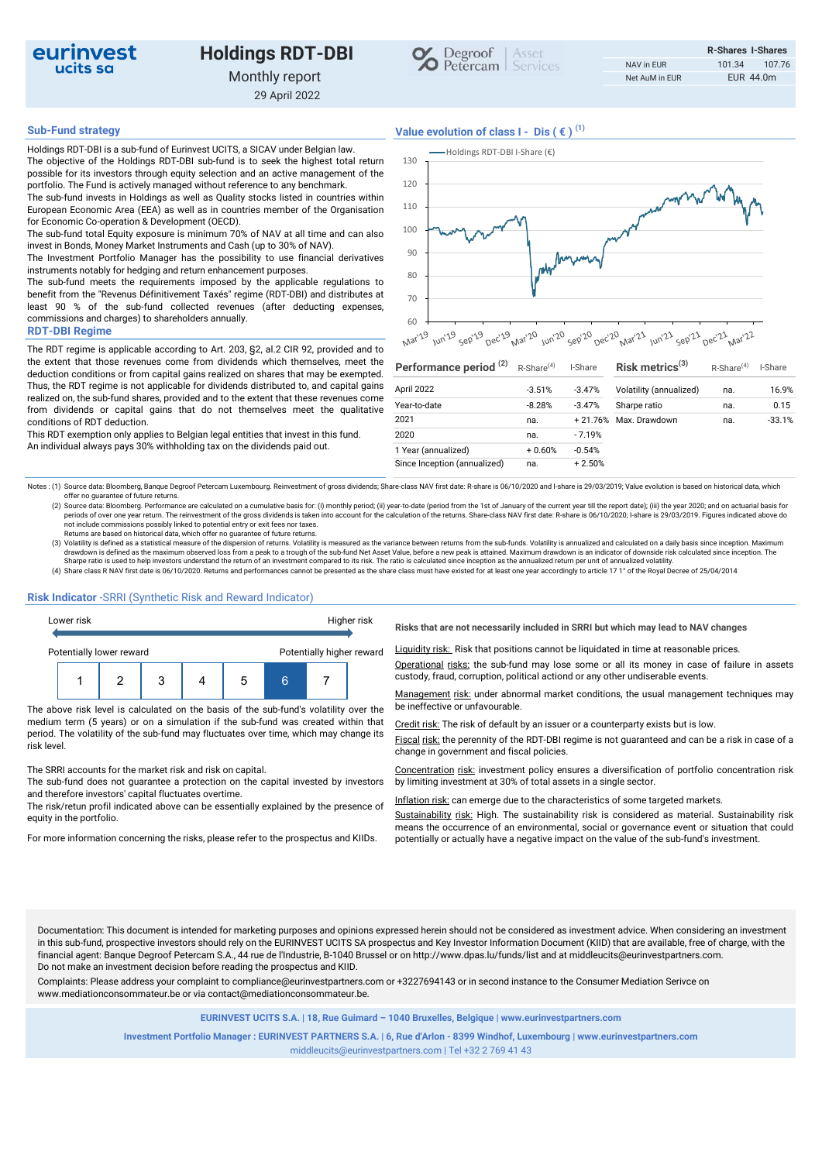

# Holdings RDT-DBI Monthly report

29 April 2022



Holdings RDT-DBI is a sub-fund of Eurinvest UCITS, a SICAV under Belgian law. The objective of the Holdings RDT-DBI sub-fund is to seek the highest total return possible for its investors through equity selection and an active management of the portfolio. The Fund is actively managed without reference to any benchmark. The sub-fund invests in Holdings as well as Quality stocks listed in countries within

European Economic Area (EEA) as well as in countries member of the Organisation for Economic Co-operation & Development (OECD). The sub-fund total Equity exposure is minimum 70% of NAV at all time and can also

invest in Bonds, Money Market Instruments and Cash (up to 30% of NAV). The Investment Portfolio Manager has the possibility to use financial derivatives

instruments notably for hedging and return enhancement purposes. The sub-fund meets the requirements imposed by the applicable regulations to

benefit from the "Revenus Définitivement Taxés" regime (RDT-DBI) and distributes at least 90 % of the sub-fund collected revenues (after deducting expenses, commissions and charges) to shareholders annually.

#### RDT-DBI Regime

The RDT regime is applicable according to Art. 203, §2, al.2 CIR 92, provided and to the extent that those revenues come from dividends which themselves, meet the deduction conditions or from capital gains realized on shares that may be exempted. Thus, the RDT regime is not applicable for dividends distributed to, and capital gains realized on, the sub-fund shares, provided and to the extent that these revenues come from dividends or capital gains that do not themselves meet the qualitative conditions of RDT deduction.

This RDT exemption only applies to Belgian legal entities that invest in this fund. An individual always pays 30% withholding tax on the dividends paid out.

## Sub-Fund strategy  $V$ alue evolution of class  $I - Dis$  ( $\in$ )<sup>(1)</sup>



| Performance period <sup>(2)</sup> | R-Share <sup>(4)</sup> | I-Share   | Risk metrics <sup>(3)</sup> | R-Share <sup>(4)</sup> | I-Share  |
|-----------------------------------|------------------------|-----------|-----------------------------|------------------------|----------|
| April 2022                        | $-3.51%$               | $-3.47%$  | Volatility (annualized)     | na.                    | 16.9%    |
| Year-to-date                      | $-8.28%$               | $-3.47%$  | Sharpe ratio                | na.                    | 0.15     |
| 2021                              | na.                    | $+21.76%$ | Max. Drawdown               | na.                    | $-33.1%$ |
| 2020                              | na.                    | $-7.19%$  |                             |                        |          |
| 1 Year (annualized)               | $+0.60%$               | $-0.54%$  |                             |                        |          |
| Since Inception (annualized)      | na.                    | $+2.50%$  |                             |                        |          |

Notes : (1) Source data: Bloomberg, Banque Degroof Petercam Luxembourg. Reinvestment of gross dividends; Share-class NAV first date: R-share is 06/10/2020 and I-share is 29/03/2019; Value evolution is based on historical d offer no guarantee of future returns.

(2) Source data: Bloomberg. Performance are calculated on a cumulative basis for: (i) monthly period; (ii) year-to-date (period from the 1st of January of the current year till the report date); (iii) the year 2020; and on

Returns are based on historical data, which offer no guarantee of future returns.<br>(3) Volatility is defined as a statistical measure of the dispersion of returns. Volatility is measured as the variance between returns from drawdown is defined as the maximum observed loss from a peak to a trough of the sub-fund Net Asset Value, before a new peak is attained. Maximum drawdown is an indicator of downside risk calculated since inception. The<br>Sha

(4) Share class R NAV first date is 06/10/2020. Returns and performances cannot be presented as the share class must have existed for at least one year accordingly to article 17 1° of the Royal Decree of 25/04/2014

#### Risk Indicator -SRRI (Synthetic Risk and Reward Indicator)



The above risk level is calculated on the basis of the sub-fund's volatility over the be ineffective or unfavourable. medium term (5 years) or on a simulation if the sub-fund was created within that period. The volatility of the sub-fund may fluctuates over time, which may change its risk level.

The SRRI accounts for the market risk and risk on capital.

The sub-fund does not guarantee a protection on the capital invested by investors and therefore investors' capital fluctuates overtime.

The risk/retun profil indicated above can be essentially explained by the presence of equity in the portfolio.

Risks that are not necessarily included in SRRI but which may lead to NAV changes

Liquidity risk: Risk that positions cannot be liquidated in time at reasonable prices.

Operational risks: the sub-fund may lose some or all its money in case of failure in assets

Management risk: under abnormal market conditions, the usual management techniques may

Credit risk: The risk of default by an issuer or a counterparty exists but is low.

Fiscal risk: the perennity of the RDT-DBI regime is not guaranteed and can be a risk in case of a change in government and fiscal policies.

Concentration risk: investment policy ensures a diversification of portfolio concentration risk by limiting investment at 30% of total assets in a single sector.

Inflation risk: can emerge due to the characteristics of some targeted markets.

Sustainability risk: High. The sustainability risk is considered as material. Sustainability risk means the occurrence of an environmental, social or governance event or situation that could For more information concerning the risks, please refer to the prospectus and KIIDs. potentially or actually have a negative impact on the value of the sub-fund's investment.

Documentation: This document is intended for marketing purposes and opinions expressed herein should not be considered as investment advice. When considering an investment in this sub-fund, prospective investors should rely on the EURINVEST UCITS SA prospectus and Key Investor Information Document (KIID) that are available, free of charge, with the financial agent: Banque Degroof Petercam S.A., 44 rue de l'Industrie, B-1040 Brussel or on http://www.dpas.lu/funds/list and at middleucits@eurinvestpartners.com. Do not make an investment decision before reading the prospectus and KIID.

Complaints: Please address your complaint to compliance@eurinvestpartners.com or +3227694143 or in second instance to the Consumer Mediation Serivce on www.mediationconsommateur.be or via contact@mediationconsommateur.be.

EURINVEST UCITS S.A. | 18, Rue Guimard – 1040 Bruxelles, Belgique | www.eurinvestpartners.com

Investment Portfolio Manager : EURINVEST PARTNERS S.A. | 6, Rue d'Arlon - 8399 Windhof, Luxembourg | www.eurinvestpartners.com middleucits@eurinvestpartners.com | Tel +32 2 769 41 43